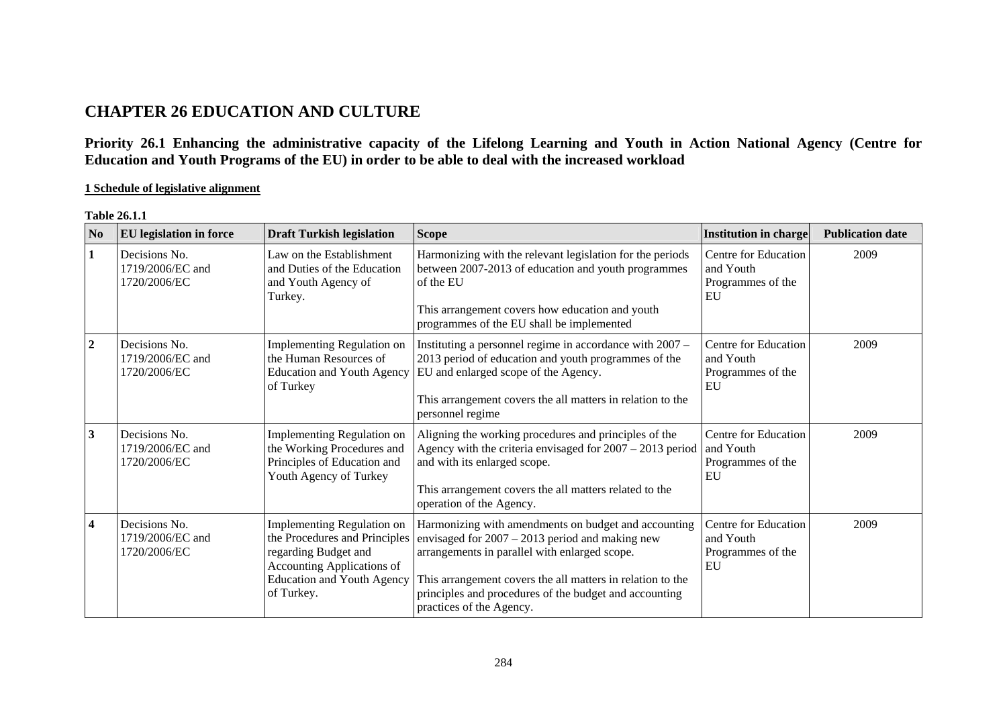## **CHAPTER 26 EDUCATION AND CULTURE**

**Priority 26.1 Enhancing the administrative capacity of the Lifelong Learning and Youth in Action National Agency (Centre for Education and Youth Programs of the EU) in order to be able to deal with the increased workload** 

**1 Schedule of legislative alignment**

| N <sub>0</sub>   | <b>EU</b> legislation in force                    | <b>Draft Turkish legislation</b>                                                                                                                                            | <b>Scope</b>                                                                                                                                                                                                                                                                                                   | <b>Institution in charge</b>                                 | <b>Publication date</b> |
|------------------|---------------------------------------------------|-----------------------------------------------------------------------------------------------------------------------------------------------------------------------------|----------------------------------------------------------------------------------------------------------------------------------------------------------------------------------------------------------------------------------------------------------------------------------------------------------------|--------------------------------------------------------------|-------------------------|
| $\vert$ 1        | Decisions No.<br>1719/2006/EC and<br>1720/2006/EC | Law on the Establishment<br>and Duties of the Education<br>and Youth Agency of<br>Turkey.                                                                                   | Harmonizing with the relevant legislation for the periods<br>between 2007-2013 of education and youth programmes<br>of the EU<br>This arrangement covers how education and youth<br>programmes of the EU shall be implemented                                                                                  | Centre for Education<br>and Youth<br>Programmes of the<br>EU | 2009                    |
| $\overline{2}$   | Decisions No.<br>1719/2006/EC and<br>1720/2006/EC | Implementing Regulation on<br>the Human Resources of<br><b>Education and Youth Agency</b><br>of Turkey                                                                      | Instituting a personnel regime in accordance with 2007 -<br>2013 period of education and youth programmes of the<br>EU and enlarged scope of the Agency.<br>This arrangement covers the all matters in relation to the<br>personnel regime                                                                     | Centre for Education<br>and Youth<br>Programmes of the<br>EU | 2009                    |
| $\mathbf{3}$     | Decisions No.<br>1719/2006/EC and<br>1720/2006/EC | Implementing Regulation on<br>the Working Procedures and<br>Principles of Education and<br>Youth Agency of Turkey                                                           | Aligning the working procedures and principles of the<br>Agency with the criteria envisaged for $2007 - 2013$ period<br>and with its enlarged scope.<br>This arrangement covers the all matters related to the<br>operation of the Agency.                                                                     | Centre for Education<br>and Youth<br>Programmes of the<br>EU | 2009                    |
| $\boldsymbol{4}$ | Decisions No.<br>1719/2006/EC and<br>1720/2006/EC | <b>Implementing Regulation on</b><br>the Procedures and Principles<br>regarding Budget and<br>Accounting Applications of<br><b>Education and Youth Agency</b><br>of Turkey. | Harmonizing with amendments on budget and accounting<br>envisaged for $2007 - 2013$ period and making new<br>arrangements in parallel with enlarged scope.<br>This arrangement covers the all matters in relation to the<br>principles and procedures of the budget and accounting<br>practices of the Agency. | Centre for Education<br>and Youth<br>Programmes of the<br>EU | 2009                    |